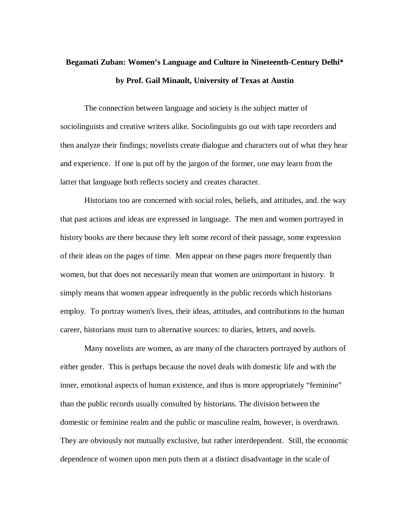## **Begamati Zuban: Women's Language and Culture in Nineteenth-Century Delhi\* by Prof. Gail Minault, University of Texas at Austin**

The connection between language and society is the subject matter of sociolinguists and creative writers alike. Sociolinguists go out with tape recorders and then analyze their findings; novelists create dialogue and characters out of what they hear and experience. If one is put off by the jargon of the former, one may learn from the latter that language both reflects society and creates character.

Historians too are concerned with social roles, beliefs, and attitudes, and. the way that past actions and ideas are expressed in language. The men and women portrayed in history books are there because they left some record of their passage, some expression of their ideas on the pages of time. Men appear on these pages more frequently than women, but that does not necessarily mean that women are unimportant in history. It simply means that women appear infrequently in the public records which historians employ. To portray women's lives, their ideas, attitudes, and contributions to the human career, historians must turn to alternative sources: to diaries, letters, and novels.

Many novelists are women, as are many of the characters portrayed by authors of either gender. This is perhaps because the novel deals with domestic life and with the inner, emotional aspects of human existence, and thus is more appropriately "feminine" than the public records usually consulted by historians. The division between the domestic or feminine realm and the public or masculine realm, however, is overdrawn. They are obviously not mutually exclusive, but rather interdependent. Still, the economic dependence of women upon men puts them at a distinct disadvantage in the scale of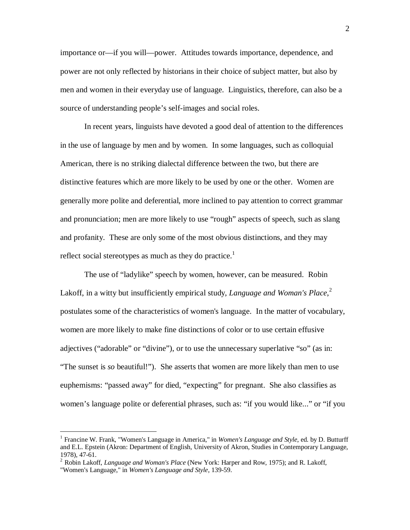importance or—if you will—power. Attitudes towards importance, dependence, and power are not only reflected by historians in their choice of subject matter, but also by men and women in their everyday use of language. Linguistics, therefore, can also be a source of understanding people's self-images and social roles.

In recent years, linguists have devoted a good deal of attention to the differences in the use of language by men and by women. In some languages, such as colloquial American, there is no striking dialectal difference between the two, but there are distinctive features which are more likely to be used by one or the other. Women are generally more polite and deferential, more inclined to pay attention to correct grammar and pronunciation; men are more likely to use "rough" aspects of speech, such as slang and profanity. These are only some of the most obvious distinctions, and they may reflect social stereotypes as much as they do practice.<sup>1</sup>

The use of "ladylike" speech by women, however, can be measured. Robin Lakoff, in a witty but insufficiently empirical study, *Language and Woman's Place*, 2 postulates some of the characteristics of women's language. In the matter of vocabulary, women are more likely to make fine distinctions of color or to use certain effusive adjectives ("adorable" or "divine"), or to use the unnecessary superlative "so" (as in: "The sunset is *so* beautiful!"). She asserts that women are more likely than men to use euphemisms: "passed away" for died, "expecting" for pregnant. She also classifies as women's language polite or deferential phrases, such as: "if you would like..." or "if you

<u>.</u>

<sup>1</sup> Francine W. Frank, "Women's Language in America," in *Women's Language and Style*, ed. by D. Butturff and E.L. Epstein (Akron: Department of English, University of Akron, Studies in Contemporary Language, 1978), 47-61.

<sup>2</sup> Robin Lakoff, *Language and Woman's Place* (New York: Harper and Row, 1975); and R. Lakoff, "Women's Language," in *Women's Language and Style*, 139-59.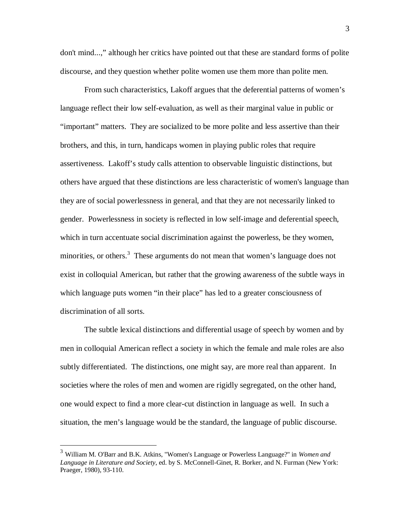don't mind...," although her critics have pointed out that these are standard forms of polite discourse, and they question whether polite women use them more than polite men.

From such characteristics, Lakoff argues that the deferential patterns of women's language reflect their low self-evaluation, as well as their marginal value in public or "important" matters. They are socialized to be more polite and less assertive than their brothers, and this, in turn, handicaps women in playing public roles that require assertiveness. Lakoff's study calls attention to observable linguistic distinctions, but others have argued that these distinctions are less characteristic of women's language than they are of social powerlessness in general, and that they are not necessarily linked to gender. Powerlessness in society is reflected in low self-image and deferential speech, which in turn accentuate social discrimination against the powerless, be they women, minorities, or others.<sup>3</sup> These arguments do not mean that women's language does not exist in colloquial American, but rather that the growing awareness of the subtle ways in which language puts women "in their place" has led to a greater consciousness of discrimination of all sorts.

The subtle lexical distinctions and differential usage of speech by women and by men in colloquial American reflect a society in which the female and male roles are also subtly differentiated. The distinctions, one might say, are more real than apparent. In societies where the roles of men and women are rigidly segregated, on the other hand, one would expect to find a more clear-cut distinction in language as well. In such a situation, the men's language would be the standard, the language of public discourse.

<sup>3</sup> William M. O'Barr and B.K. Atkins, "Women's Language or Powerless Language?" in *Women and Language in Literature and Society*, ed. by S. McConnell-Ginet, R. Borker, and N. Furman (New York: Praeger, 1980), 93-110.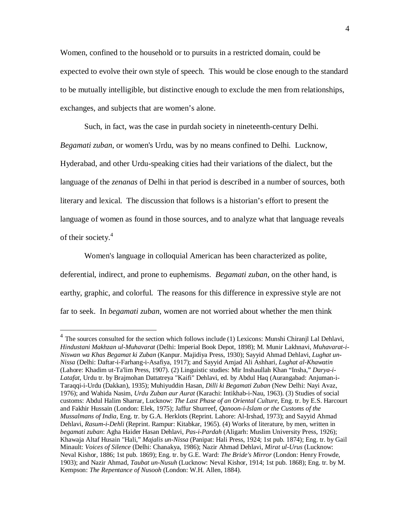Women, confined to the household or to pursuits in a restricted domain, could be expected to evolve their own style of speech. This would be close enough to the standard to be mutually intelligible, but distinctive enough to exclude the men from relationships, exchanges, and subjects that are women's alone.

Such, in fact, was the case in purdah society in nineteenth-century Delhi. *Begamati zuban*, or women's Urdu, was by no means confined to Delhi. Lucknow, Hyderabad, and other Urdu-speaking cities had their variations of the dialect, but the language of the *zenanas* of Delhi in that period is described in a number of sources, both literary and lexical. The discussion that follows is a historian's effort to present the language of women as found in those sources, and to analyze what that language reveals of their society. 4

Women's language in colloquial American has been characterized as polite, deferential, indirect, and prone to euphemisms. *Begamati zuban*, on the other hand, is earthy, graphic, and colorful. The reasons for this difference in expressive style are not far to seek. In *begamati zuban*, women are not worried about whether the men think

 $4$  The sources consulted for the section which follows include (1) Lexicons: Munshi Chiranjl Lal Dehlavi, *Hindustani Makhzan ul-Muhavarat* (Delhi: Imperial Book Depot, 1898); M. Munir Lakhnavi, *Muhavarat-i-Niswan wa Khas Begamat ki Zuban* (Kanpur. Majidiya Press, 1930); Sayyid Ahmad Dehlavi, *Lughat un-Nissa* (Delhi: Daftar-i-Farhang-i-Asafiya, 1917); and Sayyid Amjad Ali Ashhari, *Lughat al-Khawatin*  (Lahore: Khadim ut-Ta'lim Press, 1907). (2) Linguistic studies: Mir Inshaullah Khan "Insha," *Darya-i-Latafat*, Urdu tr. by Brajmohan Dattatreya "Kaifi" Dehlavi, ed. by Abdul Haq (Aurangabad: Anjuman-i-Taraqqi-i-Urdu (Dakkan), 1935); Muhiyuddin Hasan, *Dilli ki Begamati Zuban* (New Delhi: Nayi Avaz, 1976); and Wahida Nasim, *Urdu Zuban aur Aurat* (Karachi: Intikhab-i-Nau, 1963). (3) Studies of social customs: Abdul Halim Sharrar, Lucknow: *The Last Phase of an Oriental Culture*, Eng. tr. by E.S. Harcourt and Fakhir Hussain (London: Elek, 1975); Jaffur Shurreef, *Qanoon-i-Islam or the Customs of the Mussalmans of India,* Eng. tr. by G.A. Herklots (Reprint. Lahore: Al-Irshad, 1973); and Sayyid Ahmad Dehlavi, *Rasum-i-Dehli* (Reprint. Rampur: Kitabkar, 1965). (4) Works of literature, by men, written in *begamati zuban*: Agha Haider Hasan Dehlavi, *Pas-i-Pardah* (Aligarh: Muslim University Press, 1926); Khawaja Altaf Husain "Hali," *Majalis un-Nissa* (Panipat: Hali Press, 1924; 1st pub. 1874); Eng. tr. by Gail Minault: *Voices of Silence* (Delhi: Chanakya, 1986); Nazir Ahmad Dehlavi, *Mirat ul-Urus* (Lucknow: Neval Kishor, 1886; 1st pub. 1869); Eng. tr. by G.E. Ward: *The Bride's Mirror* (London: Henry Frowde, 1903); and Nazir Ahmad, *Taubat un-Nusuh* (Lucknow: Neval Kishor, 1914; 1st pub. 1868); Eng. tr. by M. Kempson: *The Repentance of Nusooh* (London: W.H. Allen, 1884).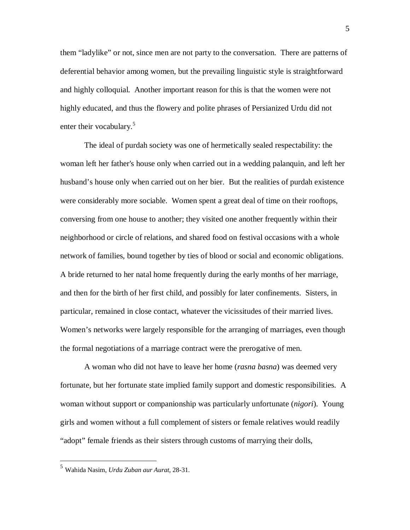them "ladylike" or not, since men are not party to the conversation. There are patterns of deferential behavior among women, but the prevailing linguistic style is straightforward and highly colloquial. Another important reason for this is that the women were not highly educated, and thus the flowery and polite phrases of Persianized Urdu did not enter their vocabulary.<sup>5</sup>

The ideal of purdah society was one of hermetically sealed respectability: the woman left her father's house only when carried out in a wedding palanquin, and left her husband's house only when carried out on her bier. But the realities of purdah existence were considerably more sociable. Women spent a great deal of time on their rooftops, conversing from one house to another; they visited one another frequently within their neighborhood or circle of relations, and shared food on festival occasions with a whole network of families, bound together by ties of blood or social and economic obligations. A bride returned to her natal home frequently during the early months of her marriage, and then for the birth of her first child, and possibly for later confinements. Sisters, in particular, remained in close contact, whatever the vicissitudes of their married lives. Women's networks were largely responsible for the arranging of marriages, even though the formal negotiations of a marriage contract were the prerogative of men.

A woman who did not have to leave her home (*rasna basna*) was deemed very fortunate, but her fortunate state implied family support and domestic responsibilities. A woman without support or companionship was particularly unfortunate (*nigori*). Young girls and women without a full complement of sisters or female relatives would readily "adopt" female friends as their sisters through customs of marrying their dolls,

<sup>5</sup> Wahida Nasim, *Urdu Zuban aur Aurat*, 28-31.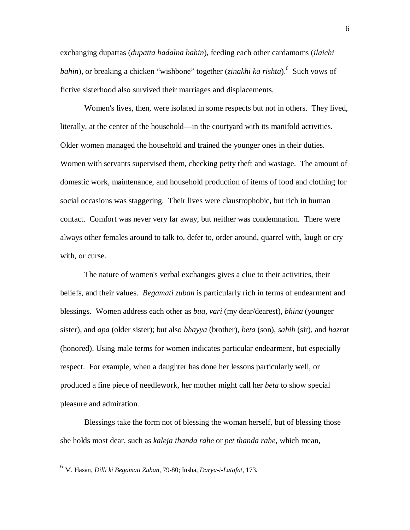exchanging dupattas (*dupatta badalna bahin*), feeding each other cardamoms (*ilaichi bahin*), or breaking a chicken "wishbone" together (*zinakhi ka rishta*).<sup>6</sup> Such vows of fictive sisterhood also survived their marriages and displacements.

Women's lives, then, were isolated in some respects but not in others. They lived, literally, at the center of the household—in the courtyard with its manifold activities. Older women managed the household and trained the younger ones in their duties. Women with servants supervised them, checking petty theft and wastage. The amount of domestic work, maintenance, and household production of items of food and clothing for social occasions was staggering. Their lives were claustrophobic, but rich in human contact. Comfort was never very far away, but neither was condemnation. There were always other females around to talk to, defer to, order around, quarrel with, laugh or cry with, or curse.

The nature of women's verbal exchanges gives a clue to their activities, their beliefs, and their values. *Begamati zuban* is particularly rich in terms of endearment and blessings. Women address each other as *bua*, *vari* (my dear/dearest), *bhina* (younger sister), and *apa* (older sister); but also *bhayya* (brother), *beta* (son), *sahib* (sir), and *hazrat* (honored). Using male terms for women indicates particular endearment, but especially respect. For example, when a daughter has done her lessons particularly well, or produced a fine piece of needlework, her mother might call her *beta* to show special pleasure and admiration.

Blessings take the form not of blessing the woman herself, but of blessing those she holds most dear, such as *kaleja thanda rahe* or *pet thanda rahe,* which mean,

<sup>6</sup> M. Hasan, *Dilli ki Begamati Zuban*, 79-80; Insha, *Darya-i-Latafat*, 173.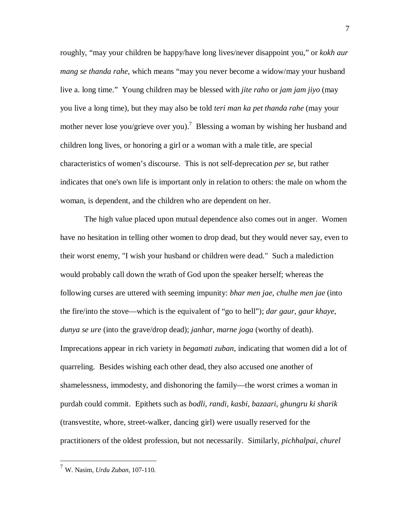roughly, "may your children be happy/have long lives/never disappoint you," or *kokh aur mang se thanda rahe*, which means "may you never become a widow/may your husband live a. long time." Young children may be blessed with *jite raho* or *jam jam jiyo* (may you live a long time), but they may also be told *teri man ka pet thanda rahe* (may your mother never lose you/grieve over you).<sup>7</sup> Blessing a woman by wishing her husband and children long lives, or honoring a girl or a woman with a male title, are special characteristics of women's discourse. This is not self-deprecation *per se*, but rather indicates that one's own life is important only in relation to others: the male on whom the woman, is dependent, and the children who are dependent on her.

The high value placed upon mutual dependence also comes out in anger. Women have no hesitation in telling other women to drop dead, but they would never say, even to their worst enemy, "I wish your husband or children were dead." Such a malediction would probably call down the wrath of God upon the speaker herself; whereas the following curses are uttered with seeming impunity: *bhar men jae*, *chulhe men jae* (into the fire/into the stove—which is the equivalent of "go to hell"); *dar gaur*, *gaur khaye*, *dunya se ure* (into the grave/drop dead); *janhar*, *marne joga* (worthy of death). Imprecations appear in rich variety in *begamati zuban*, indicating that women did a lot of quarreling. Besides wishing each other dead, they also accused one another of shamelessness, immodesty, and dishonoring the family—the worst crimes a woman in purdah could commit. Epithets such as *bodli*, *randi*, *kasbi*, *bazaari*, *ghungru ki sharik* (transvestite, whore, street-walker, dancing girl) were usually reserved for the practitioners of the oldest profession, but not necessarily. Similarly, *pichhalpai*, *churel*

<sup>7</sup> W. Nasim, *Urdu Zuban*, 107-110.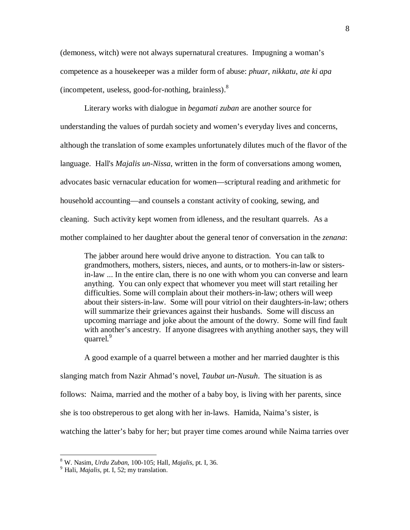(demoness, witch) were not always supernatural creatures. Impugning a woman's competence as a housekeeper was a milder form of abuse: *phuar*, *nikkatu*, *ate ki apa* (incompetent, useless, good-for-nothing, brainless).<sup>8</sup>

Literary works with dialogue in *begamati zuban* are another source for understanding the values of purdah society and women's everyday lives and concerns, although the translation of some examples unfortunately dilutes much of the flavor of the language. Hall's *Majalis un-Nissa*, written in the form of conversations among women, advocates basic vernacular education for women—scriptural reading and arithmetic for household accounting—and counsels a constant activity of cooking, sewing, and cleaning. Such activity kept women from idleness, and the resultant quarrels. As a mother complained to her daughter about the general tenor of conversation in the *zenana*:

The jabber around here would drive anyone to distraction. You can talk to grandmothers, mothers, sisters, nieces, and aunts, or to mothers-in-law or sistersin-law ... In the entire clan, there is no one with whom you can converse and learn anything. You can only expect that whomever you meet will start retailing her difficulties. Some will complain about their mothers-in-law; others will weep about their sisters-in-law. Some will pour vitriol on their daughters-in-law; others will summarize their grievances against their husbands. Some will discuss an upcoming marriage and joke about the amount of the dowry. Some will find fault with another's ancestry. If anyone disagrees with anything another says, they will quarrel.<sup>9</sup>

A good example of a quarrel between a mother and her married daughter is this slanging match from Nazir Ahmad's novel, *Taubat un-Nusuh*. The situation is as follows: Naima, married and the mother of a baby boy, is living with her parents, since she is too obstreperous to get along with her in-laws. Hamida, Naima's sister, is watching the latter's baby for her; but prayer time comes around while Naima tarries over

<sup>8</sup> W. Nasim, *Urdu Zuban*, 100-105; Hall, *Majalis*, pt. I, 36.

<sup>9</sup> Hali, *Majalis*, pt. I, 52; my translation.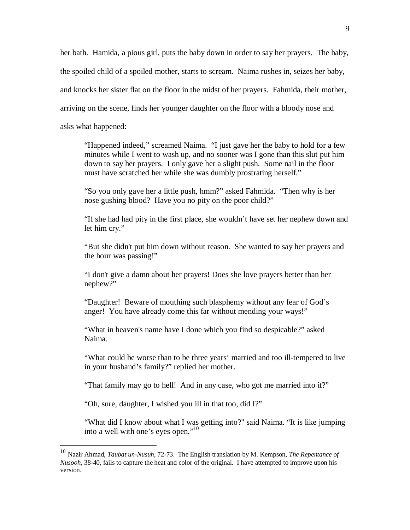her bath. Hamida, a pious girl, puts the baby down in order to say her prayers. The baby, the spoiled child of a spoiled mother, starts to scream. Naima rushes in, seizes her baby, and knocks her sister flat on the floor in the midst of her prayers. Fahmida, their mother, arriving on the scene, finds her younger daughter on the floor with a bloody nose and asks what happened:

"Happened indeed," screamed Naima. "I just gave her the baby to hold for a few minutes while I went to wash up, and no sooner was I gone than this slut put him down to say her prayers. I only gave her a slight push. Some nail in the floor must have scratched her while she was dumbly prostrating herself."

"So you only gave her a little push, hmm?" asked Fahmida. "Then why is her nose gushing blood? Have you no pity on the poor child?"

"If she had had pity in the first place, she wouldn't have set her nephew down and let him cry."

"But she didn't put him down without reason. She wanted to say her prayers and the hour was passing!"

"I don't give a damn about her prayers! Does she love prayers better than her nephew?"

"Daughter! Beware of mouthing such blasphemy without any fear of God's anger! You have already come this far without mending your ways!"

"What in heaven's name have I done which you find so despicable?" asked Naima.

"What could be worse than to be three years' married and too ill-tempered to live in your husband's family?" replied her mother.

"That family may go to hell! And in any case, who got me married into it?"

"Oh, sure, daughter, I wished you ill in that too, did I?"

<u>.</u>

"What did I know about what I was getting into?" said Naima. "It is like jumping into a well with one's eyes open."<sup>10</sup>

<sup>10</sup> Nazir Ahmad, *Taubat un-Nusuh*, 72-73. The English translation by M. Kempson, *The Repentance of Nusooh*, 38-40, fails to capture the heat and color of the original. I have attempted to improve upon his version.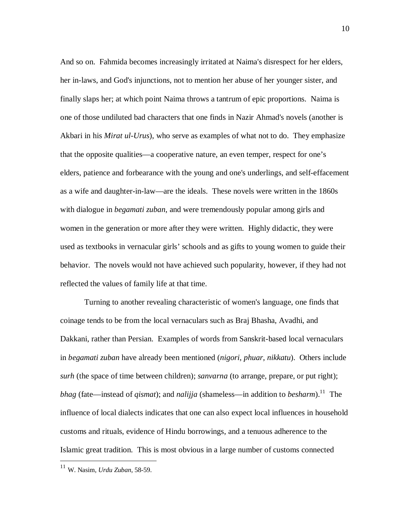And so on. Fahmida becomes increasingly irritated at Naima's disrespect for her elders, her in-laws, and God's injunctions, not to mention her abuse of her younger sister, and finally slaps her; at which point Naima throws a tantrum of epic proportions. Naima is one of those undiluted bad characters that one finds in Nazir Ahmad's novels (another is Akbari in his *Mirat ul-Urus*), who serve as examples of what not to do. They emphasize that the opposite qualities—a cooperative nature, an even temper, respect for one's elders, patience and forbearance with the young and one's underlings, and self-effacement as a wife and daughter-in-law—are the ideals. These novels were written in the 1860s with dialogue in *begamati zuban*, and were tremendously popular among girls and women in the generation or more after they were written. Highly didactic, they were used as textbooks in vernacular girls' schools and as gifts to young women to guide their behavior. The novels would not have achieved such popularity, however, if they had not reflected the values of family life at that time.

Turning to another revealing characteristic of women's language, one finds that coinage tends to be from the local vernaculars such as Braj Bhasha, Avadhi, and Dakkani, rather than Persian. Examples of words from Sanskrit-based local vernaculars in *begamati zuban* have already been mentioned (*nigori*, *phuar*, *nikkatu*). Others include *surh* (the space of time between children); *sanvarna* (to arrange, prepare, or put right); *bhag* (fate—instead of *qismat*); and *nalijja* (shameless—in addition to *besharm*).<sup>11</sup> The influence of local dialects indicates that one can also expect local influences in household customs and rituals, evidence of Hindu borrowings, and a tenuous adherence to the Islamic great tradition. This is most obvious in a large number of customs connected

<sup>11</sup> W. Nasim, *Urdu Zuban*, 58-59.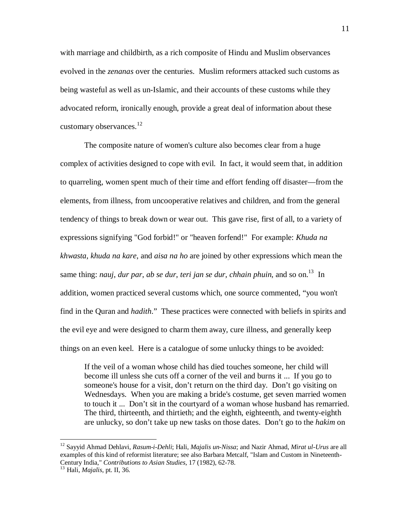with marriage and childbirth, as a rich composite of Hindu and Muslim observances evolved in the *zenanas* over the centuries. Muslim reformers attacked such customs as being wasteful as well as un-Islamic, and their accounts of these customs while they advocated reform, ironically enough, provide a great deal of information about these customary observances.<sup>12</sup>

The composite nature of women's culture also becomes clear from a huge complex of activities designed to cope with evil. In fact, it would seem that, in addition to quarreling, women spent much of their time and effort fending off disaster—from the elements, from illness, from uncooperative relatives and children, and from the general tendency of things to break down or wear out. This gave rise, first of all, to a variety of expressions signifying "God forbid!" or "heaven forfend!" For example: *Khuda na khwasta*, *khuda na kare*, and *aisa na ho* are joined by other expressions which mean the same thing: *nauj*, *dur par*, *ab se dur*, *teri jan se dur*, *chhain phuin*, and so on.<sup>13</sup> In addition, women practiced several customs which, one source commented, "you won't find in the Quran and *hadith*." These practices were connected with beliefs in spirits and the evil eye and were designed to charm them away, cure illness, and generally keep things on an even keel. Here is a catalogue of some unlucky things to be avoided:

If the veil of a woman whose child has died touches someone, her child will become ill unless she cuts off a corner of the veil and burns it ... If you go to someone's house for a visit, don't return on the third day. Don't go visiting on Wednesdays. When you are making a bride's costume, get seven married women to touch it ... Don't sit in the courtyard of a woman whose husband has remarried. The third, thirteenth, and thirtieth; and the eighth, eighteenth, and twenty-eighth are unlucky, so don't take up new tasks on those dates. Don't go to the *hakim* on

<sup>12</sup> Sayyid Ahmad Dehlavi, *Rasum-i-Dehli*; Hali, *Majalis un-Nissa*; and Nazir Ahmad, *Mirat ul-Urus* are all examples of this kind of reformist literature; see also Barbara Metcalf, "Islam and Custom in Nineteenth-Century India," *Contributions to Asian Studies*, 17 (1982), 62-78.

<sup>13</sup> Hali, *Majalis*, pt. II, 36.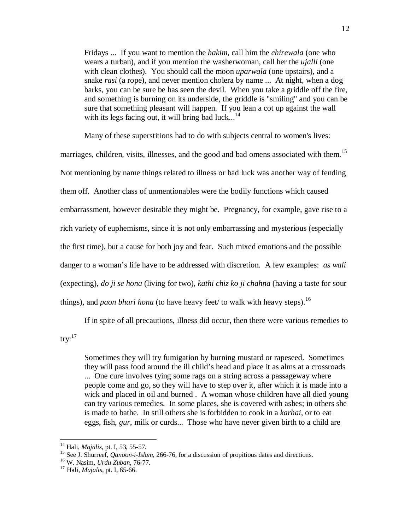Fridays ... If you want to mention the *hakim*, call him the *chirewala* (one who wears a turban), and if you mention the washerwoman, call her the *ujalli* (one with clean clothes). You should call the moon *uparwala* (one upstairs), and a snake *rasi* (a rope), and never mention cholera by name ... At night, when a dog barks, you can be sure be has seen the devil. When you take a griddle off the fire, and something is burning on its underside, the griddle is "smiling" and you can be sure that something pleasant will happen. If you lean a cot up against the wall with its legs facing out, it will bring bad luck...<sup>14</sup>

Many of these superstitions had to do with subjects central to women's lives: marriages, children, visits, illnesses, and the good and bad omens associated with them.<sup>15</sup> Not mentioning by name things related to illness or bad luck was another way of fending them off. Another class of unmentionables were the bodily functions which caused embarrassment, however desirable they might be. Pregnancy, for example, gave rise to a rich variety of euphemisms, since it is not only embarrassing and mysterious (especially the first time), but a cause for both joy and fear. Such mixed emotions and the possible danger to a woman's life have to be addressed with discretion. A few examples: *as wali* (expecting), *do ji se hona* (living for two), *kathi chiz ko ji chahna* (having a taste for sour things), and *paon bhari hona* (to have heavy feet/ to walk with heavy steps).<sup>16</sup>

If in spite of all precautions, illness did occur, then there were various remedies to try: 17

Sometimes they will try fumigation by burning mustard or rapeseed. Sometimes they will pass food around the ill child's head and place it as alms at a crossroads ... One cure involves tying some rags on a string across a passageway where people come and go, so they will have to step over it, after which it is made into a wick and placed in oil and burned . A woman whose children have all died young can try various remedies. In some places, she is covered with ashes; in others she is made to bathe. In still others she is forbidden to cook in a *karhai*, or to eat eggs, fish, *gur*, milk or curds... Those who have never given birth to a child are

<sup>14</sup> Hali, *Majalis*, pt. I, 53, 55-57.

<sup>&</sup>lt;sup>15</sup> See J. Shurreef, *Qanoon-i-Islam*, 266-76, for a discussion of propitious dates and directions.

<sup>16</sup> W. Nasim, *Urdu Zuban*, 76-77.

<sup>17</sup> Hali, *Majalis*, pt. I, 65-66.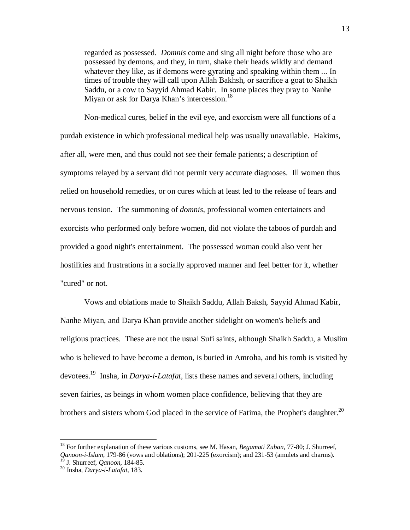regarded as possessed. *Domnis* come and sing all night before those who are possessed by demons, and they, in turn, shake their heads wildly and demand whatever they like, as if demons were gyrating and speaking within them ... In times of trouble they will call upon Allah Bakhsh, or sacrifice a goat to Shaikh Saddu, or a cow to Sayyid Ahmad Kabir. In some places they pray to Nanhe Miyan or ask for Darya Khan's intercession.<sup>18</sup>

Non-medical cures, belief in the evil eye, and exorcism were all functions of a purdah existence in which professional medical help was usually unavailable. Hakims, after all, were men, and thus could not see their female patients; a description of symptoms relayed by a servant did not permit very accurate diagnoses. Ill women thus relied on household remedies, or on cures which at least led to the release of fears and nervous tension. The summoning of *domnis*, professional women entertainers and exorcists who performed only before women, did not violate the taboos of purdah and provided a good night's entertainment. The possessed woman could also vent her hostilities and frustrations in a socially approved manner and feel better for it, whether "cured" or not.

Vows and oblations made to Shaikh Saddu, Allah Baksh, Sayyid Ahmad Kabir, Nanhe Miyan, and Darya Khan provide another sidelight on women's beliefs and religious practices. These are not the usual Sufi saints, although Shaikh Saddu, a Muslim who is believed to have become a demon, is buried in Amroha, and his tomb is visited by devotees.<sup>19</sup> Insha, in *Darya-i-Latafat*, lists these names and several others, including seven fairies, as beings in whom women place confidence, believing that they are brothers and sisters whom God placed in the service of Fatima, the Prophet's daughter.<sup>20</sup>

<sup>18</sup> For further explanation of these various customs, see M. Hasan, *Begamati Zuban*, 77-80; J. Shurreef, *Qanoon-i-Islam*, 179-86 (vows and oblations); 201-225 (exorcism); and 231-53 (amulets and charms).

<sup>19</sup> J. Shurreef, *Qanoon*, 184-85.

<sup>20</sup> Insha, *Darya-i-Latafat*, 183.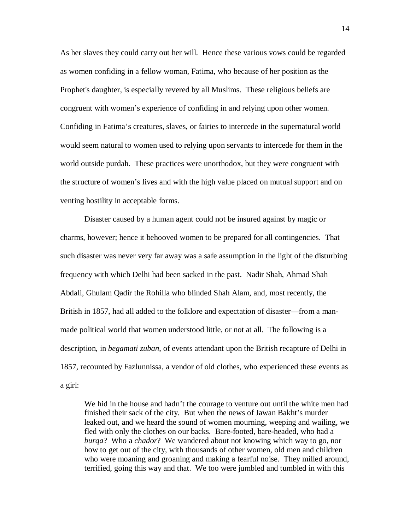As her slaves they could carry out her will. Hence these various vows could be regarded as women confiding in a fellow woman, Fatima, who because of her position as the Prophet's daughter, is especially revered by all Muslims. These religious beliefs are congruent with women's experience of confiding in and relying upon other women. Confiding in Fatima's creatures, slaves, or fairies to intercede in the supernatural world would seem natural to women used to relying upon servants to intercede for them in the world outside purdah. These practices were unorthodox, but they were congruent with the structure of women's lives and with the high value placed on mutual support and on venting hostility in acceptable forms.

Disaster caused by a human agent could not be insured against by magic or charms, however; hence it behooved women to be prepared for all contingencies. That such disaster was never very far away was a safe assumption in the light of the disturbing frequency with which Delhi had been sacked in the past. Nadir Shah, Ahmad Shah Abdali, Ghulam Qadir the Rohilla who blinded Shah Alam, and, most recently, the British in 1857, had all added to the folklore and expectation of disaster—from a manmade political world that women understood little, or not at all. The following is a description, in *begamati zuban*, of events attendant upon the British recapture of Delhi in 1857, recounted by Fazlunnissa, a vendor of old clothes, who experienced these events as a girl:

We hid in the house and hadn't the courage to venture out until the white men had finished their sack of the city. But when the news of Jawan Bakht's murder leaked out, and we heard the sound of women mourning, weeping and wailing, we fled with only the clothes on our backs. Bare-footed, bare-headed, who had a *burqa*? Who a *chador*? We wandered about not knowing which way to go, nor how to get out of the city, with thousands of other women, old men and children who were moaning and groaning and making a fearful noise. They milled around, terrified, going this way and that. We too were jumbled and tumbled in with this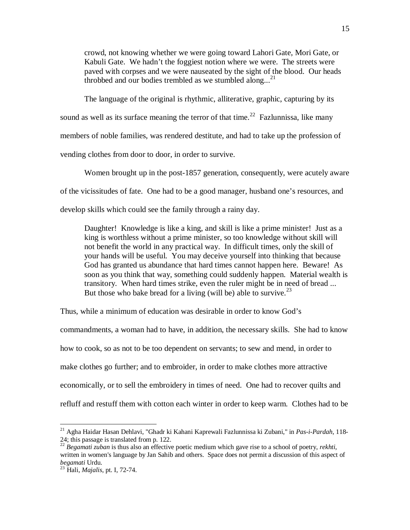crowd, not knowing whether we were going toward Lahori Gate, Mori Gate, or Kabuli Gate. We hadn't the foggiest notion where we were. The streets were paved with corpses and we were nauseated by the sight of the blood. Our heads throbbed and our bodies trembled as we stumbled along...<sup>21</sup>

The language of the original is rhythmic, alliterative, graphic, capturing by its sound as well as its surface meaning the terror of that time.<sup>22</sup> Fazlunnissa, like many members of noble families, was rendered destitute, and had to take up the profession of vending clothes from door to door, in order to survive.

Women brought up in the post-1857 generation, consequently, were acutely aware of the vicissitudes of fate. One had to be a good manager, husband one's resources, and develop skills which could see the family through a rainy day.

Daughter! Knowledge is like a king, and skill is like a prime minister! Just as a king is worthless without a prime minister, so too knowledge without skill will not benefit the world in any practical way. In difficult times, only the skill of your hands will be useful. You may deceive yourself into thinking that because God has granted us abundance that hard times cannot happen here. Beware! As soon as you think that way, something could suddenly happen. Material wealth is transitory. When hard times strike, even the ruler might be in need of bread ... But those who bake bread for a living (will be) able to survive.<sup>23</sup>

Thus, while a minimum of education was desirable in order to know God's commandments, a woman had to have, in addition, the necessary skills. She had to know how to cook, so as not to be too dependent on servants; to sew and mend, in order to make clothes go further; and to embroider, in order to make clothes more attractive economically, or to sell the embroidery in times of need. One had to recover quilts and refluff and restuff them with cotton each winter in order to keep warm. Clothes had to be

<sup>21</sup> Agha Haidar Hasan Dehlavi, "Ghadr ki Kahani Kaprewali Fazlunnissa ki Zubani," in *Pas-i-Pardah*, 118- 24; this passage is translated from p. 122.

<sup>22</sup> *Begamati zuban* is thus also an effective poetic medium which gave rise to a school of poetry, *rekhti*, written in women's language by Jan Sahib and others. Space does not permit a discussion of this aspect of *begamati* Urdu.

<sup>23</sup> Hali, *Majalis*, pt. I, 72-74.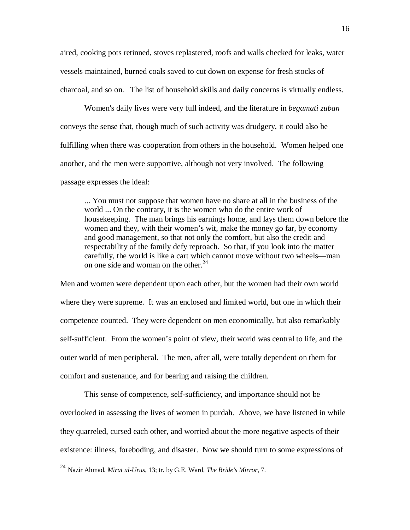aired, cooking pots retinned, stoves replastered, roofs and walls checked for leaks, water vessels maintained, burned coals saved to cut down on expense for fresh stocks of charcoal, and so on. The list of household skills and daily concerns is virtually endless.

Women's daily lives were very full indeed, and the literature in *begamati zuban* conveys the sense that, though much of such activity was drudgery, it could also be fulfilling when there was cooperation from others in the household. Women helped one another, and the men were supportive, although not very involved. The following passage expresses the ideal:

... You must not suppose that women have no share at all in the business of the world ... On the contrary, it is the women who do the entire work of housekeeping. The man brings his earnings home, and lays them down before the women and they, with their women's wit, make the money go far, by economy and good management, so that not only the comfort, but also the credit and respectability of the family defy reproach. So that, if you look into the matter carefully, the world is like a cart which cannot move without two wheels—man on one side and woman on the other.<sup>24</sup>

Men and women were dependent upon each other, but the women had their own world where they were supreme. It was an enclosed and limited world, but one in which their competence counted. They were dependent on men economically, but also remarkably self-sufficient. From the women's point of view, their world was central to life, and the outer world of men peripheral. The men, after all, were totally dependent on them for comfort and sustenance, and for bearing and raising the children.

This sense of competence, self-sufficiency, and importance should not be overlooked in assessing the lives of women in purdah. Above, we have listened in while they quarreled, cursed each other, and worried about the more negative aspects of their existence: illness, foreboding, and disaster. Now we should turn to some expressions of

<sup>24</sup> Nazir Ahmad. *Mirat ul-Urus*, 13; tr. by G.E. Ward, *The Bride's Mirror*, 7.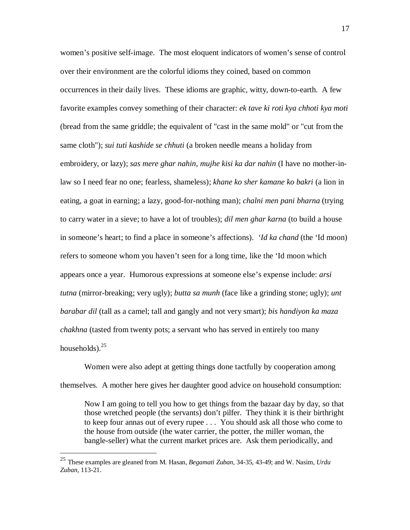women's positive self-image. The most eloquent indicators of women's sense of control over their environment are the colorful idioms they coined, based on common occurrences in their daily lives. These idioms are graphic, witty, down-to-earth. A few favorite examples convey something of their character: *ek tave ki roti kya chhoti kya moti*  (bread from the same griddle; the equivalent of "cast in the same mold" or "cut from the same cloth"); *sui tuti kashide se chhuti* (a broken needle means a holiday from embroidery, or lazy); *sas mere ghar nahin, mujhe kisi ka dar nahin* (I have no mother-inlaw so I need fear no one; fearless, shameless); *khane ko sher kamane ko bakri* (a lion in eating, a goat in earning; a lazy, good-for-nothing man); *chalni men pani bharna* (trying to carry water in a sieve; to have a lot of troubles); *dil men ghar karna* (to build a house in someone's heart; to find a place in someone's affections). *'Id ka chand* (the 'Id moon) refers to someone whom you haven't seen for a long time, like the 'Id moon which appears once a year. Humorous expressions at someone else's expense include: *arsi tutna* (mirror-breaking; very ugly); *butta sa munh* (face like a grinding stone; ugly); *unt barabar dil* (tall as a camel; tall and gangly and not very smart); *bis handiyon ka maza chakhna* (tasted from twenty pots; a servant who has served in entirely too many households). $25$ 

Women were also adept at getting things done tactfully by cooperation among themselves. A mother here gives her daughter good advice on household consumption:

Now I am going to tell you how to get things from the bazaar day by day, so that those wretched people (the servants) don't pilfer. They think it is their birthright to keep four annas out of every rupee . . . You should ask all those who come to the house from outside (the water carrier, the potter, the miller woman, the bangle-seller) what the current market prices are. Ask them periodically, and

<sup>25</sup> These examples are gleaned from M. Hasan, *Begamati Zuban*, 34-35, 43-49; and W. Nasim, *Urdu Zuban*, 113-21.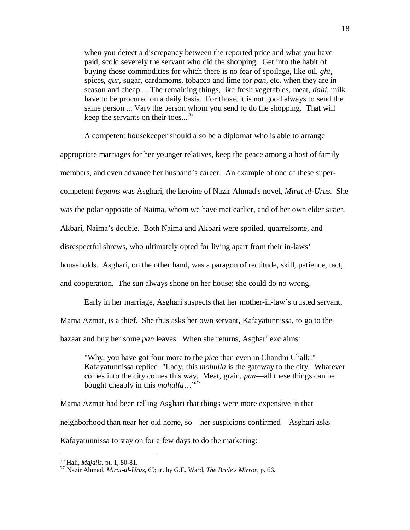when you detect a discrepancy between the reported price and what you have paid, scold severely the servant who did the shopping. Get into the habit of buying those commodities for which there is no fear of spoilage, like oil, *ghi*, spices, *gur*, sugar, cardamoms, tobacco and lime for *pan*, etc. when they are in season and cheap ... The remaining things, like fresh vegetables, meat, *dahi*, milk have to be procured on a daily basis. For those, it is not good always to send the same person ... Vary the person whom you send to do the shopping. That will keep the servants on their toes...<sup>26</sup>

A competent housekeeper should also be a diplomat who is able to arrange appropriate marriages for her younger relatives, keep the peace among a host of family members, and even advance her husband's career. An example of one of these supercompetent *begams* was Asghari, the heroine of Nazir Ahmad's novel, *Mirat ul-Urus*. She was the polar opposite of Naima, whom we have met earlier, and of her own elder sister, Akbari, Naima's double. Both Naima and Akbari were spoiled, quarrelsome, and disrespectful shrews, who ultimately opted for living apart from their in-laws' households. Asghari, on the other hand, was a paragon of rectitude, skill, patience, tact, and cooperation. The sun always shone on her house; she could do no wrong.

Early in her marriage, Asghari suspects that her mother-in-law's trusted servant, Mama Azmat, is a thief. She thus asks her own servant, Kafayatunnissa, to go to the bazaar and buy her some *pan* leaves. When she returns, Asghari exclaims:

"Why, you have got four more to the *pice* than even in Chandni Chalk!" Kafayatunnissa replied: "Lady, this *mohulla* is the gateway to the city. Whatever comes into the city comes this way. Meat, grain, *pan*—all these things can be bought cheaply in this *mohulla*…"<sup>27</sup>

Mama Azmat had been telling Asghari that things were more expensive in that neighborhood than near her old home, so—her suspicions confirmed—Asghari asks Kafayatunnissa to stay on for a few days to do the marketing:

<sup>26</sup> Hali, *Majalis*, pt. 1, 80-81.

<sup>27</sup> Nazir Ahmad, *Mirat-ul-Urus*, 69; tr. by G.E. Ward, *The Bride's Mirror*, p. 66.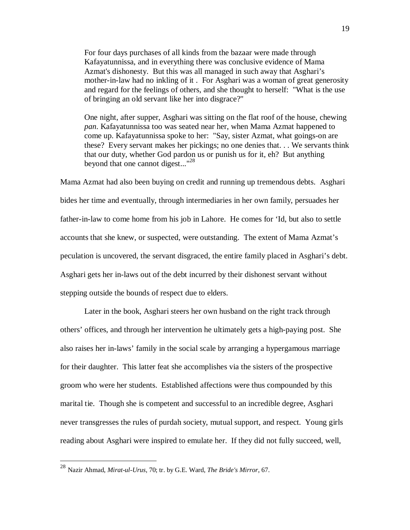For four days purchases of all kinds from the bazaar were made through Kafayatunnissa, and in everything there was conclusive evidence of Mama Azmat's dishonesty. But this was all managed in such away that Asghari's mother-in-law had no inkling of it . For Asghari was a woman of great generosity and regard for the feelings of others, and she thought to herself: "What is the use of bringing an old servant like her into disgrace?"

One night, after supper, Asghari was sitting on the flat roof of the house, chewing *pan*. Kafayatunnissa too was seated near her, when Mama Azmat happened to come up. Kafayatunnissa spoke to her: "Say, sister Azmat, what goings-on are these? Every servant makes her pickings; no one denies that. . . We servants think that our duty, whether God pardon us or punish us for it, eh? But anything beyond that one cannot digest..."<sup>28</sup>

Mama Azmat had also been buying on credit and running up tremendous debts. Asghari bides her time and eventually, through intermediaries in her own family, persuades her father-in-law to come home from his job in Lahore. He comes for 'Id, but also to settle accounts that she knew, or suspected, were outstanding. The extent of Mama Azmat's peculation is uncovered, the servant disgraced, the entire family placed in Asghari's debt. Asghari gets her in-laws out of the debt incurred by their dishonest servant without stepping outside the bounds of respect due to elders.

 Later in the book, Asghari steers her own husband on the right track through others' offices, and through her intervention he ultimately gets a high-paying post. She also raises her in-laws' family in the social scale by arranging a hypergamous marriage for their daughter. This latter feat she accomplishes via the sisters of the prospective groom who were her students. Established affections were thus compounded by this marital tie. Though she is competent and successful to an incredible degree, Asghari never transgresses the rules of purdah society, mutual support, and respect. Young girls reading about Asghari were inspired to emulate her. If they did not fully succeed, well,

<sup>28</sup> Nazir Ahmad, *Mirat-ul-Urus*, 70; tr. by G.E. Ward, *The Bride's Mirror*, 67.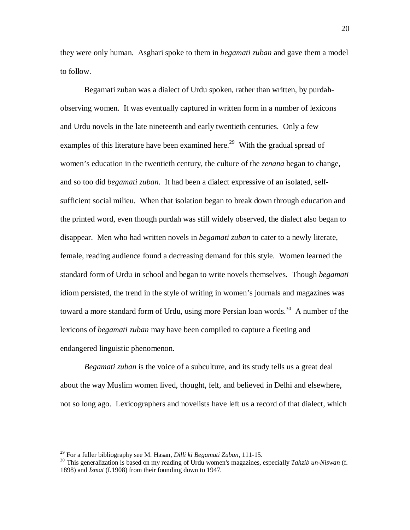they were only human. Asghari spoke to them in *begamati zuban* and gave them a model to follow.

Begamati zuban was a dialect of Urdu spoken, rather than written, by purdahobserving women. It was eventually captured in written form in a number of lexicons and Urdu novels in the late nineteenth and early twentieth centuries. Only a few examples of this literature have been examined here.<sup>29</sup> With the gradual spread of women's education in the twentieth century, the culture of the *zenana* began to change, and so too did *begamati zuban*. It had been a dialect expressive of an isolated, selfsufficient social milieu. When that isolation began to break down through education and the printed word, even though purdah was still widely observed, the dialect also began to disappear. Men who had written novels in *begamati zuban* to cater to a newly literate, female, reading audience found a decreasing demand for this style. Women learned the standard form of Urdu in school and began to write novels themselves. Though *begamati* idiom persisted, the trend in the style of writing in women's journals and magazines was toward a more standard form of Urdu, using more Persian loan words.<sup>30</sup> A number of the lexicons of *begamati zuban* may have been compiled to capture a fleeting and endangered linguistic phenomenon.

*Begamati zuban* is the voice of a subculture, and its study tells us a great deal about the way Muslim women lived, thought, felt, and believed in Delhi and elsewhere, not so long ago. Lexicographers and novelists have left us a record of that dialect, which

<sup>29</sup> For a fuller bibliography see M. Hasan, *Dilli ki Begamati Zuban*, 111-15.

<sup>30</sup> This generalization is based on my reading of Urdu women's magazines, especially *Tahzib un-Niswan* (f. 1898) and *Ismat* (f.1908) from their founding down to 1947.